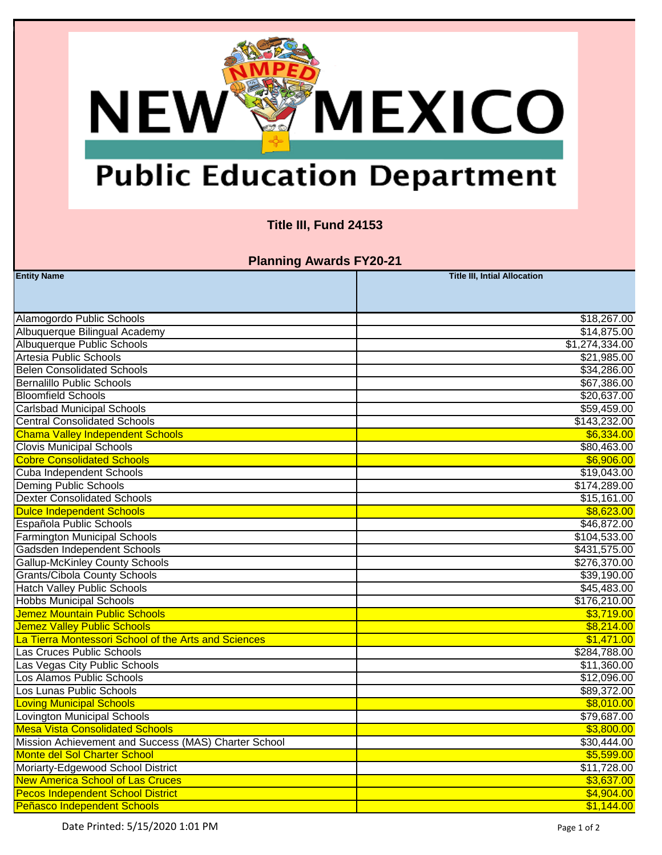## **MEXICO NEW®**

## **Public Education Department**

### **Title III, Fund 24153**

**Planning Awards FY20-21**

| <b>Entity Name</b>                                   | <b>Title III, Intial Allocation</b> |
|------------------------------------------------------|-------------------------------------|
|                                                      |                                     |
|                                                      |                                     |
| Alamogordo Public Schools                            | \$18,267.00                         |
| Albuquerque Bilingual Academy                        | \$14,875.00                         |
| Albuquerque Public Schools                           | \$1,274,334.00                      |
| Artesia Public Schools                               | \$21,985.00                         |
| <b>Belen Consolidated Schools</b>                    | \$34,286.00                         |
| <b>Bernalillo Public Schools</b>                     | \$67,386.00                         |
| <b>Bloomfield Schools</b>                            | \$20,637.00                         |
| <b>Carlsbad Municipal Schools</b>                    | \$59,459.00                         |
| <b>Central Consolidated Schools</b>                  | \$143,232.00                        |
| <b>Chama Valley Independent Schools</b>              | \$6,334.00                          |
| <b>Clovis Municipal Schools</b>                      | \$80,463.00                         |
| <b>Cobre Consolidated Schools</b>                    | \$6,906.00                          |
| Cuba Independent Schools                             | \$19,043.00                         |
| <b>Deming Public Schools</b>                         | \$174,289.00                        |
| <b>Dexter Consolidated Schools</b>                   | \$15,161.00                         |
| <b>Duice Independent Schools</b>                     | \$8,623.00                          |
| Española Public Schools                              | \$46,872.00                         |
| <b>Farmington Municipal Schools</b>                  | \$104,533.00                        |
| Gadsden Independent Schools                          | \$431,575.00                        |
| <b>Gallup-McKinley County Schools</b>                | \$276,370.00                        |
| <b>Grants/Cibola County Schools</b>                  | \$39,190.00                         |
| <b>Hatch Valley Public Schools</b>                   | \$45,483.00                         |
| <b>Hobbs Municipal Schools</b>                       | \$176,210.00                        |
| Jemez Mountain Public Schools                        | \$3,719.00                          |
| Jemez Valley Public Schools                          | \$8,214.00                          |
| La Tierra Montessori School of the Arts and Sciences | \$1,471.00                          |
| Las Cruces Public Schools                            | \$284,788.00                        |
| Las Vegas City Public Schools                        | \$11,360.00                         |
| Los Alamos Public Schools                            | \$12,096.00                         |
| Los Lunas Public Schools                             | \$89,372.00                         |
| <b>Loving Municipal Schools</b>                      | \$8,010.00                          |
| Lovington Municipal Schools                          | \$79,687.00                         |
| <b>Mesa Vista Consolidated Schools</b>               | \$3,800.00                          |
| Mission Achievement and Success (MAS) Charter School | \$30,444.00                         |
| Monte del Sol Charter School                         | \$5,599.00                          |
| Moriarty-Edgewood School District                    | \$11,728.00                         |
| <b>New America School of Las Cruces</b>              | \$3,637.00                          |
| <b>Pecos Independent School District</b>             | \$4,904.00                          |
| Peñasco Independent Schools                          | \$1,144.00                          |